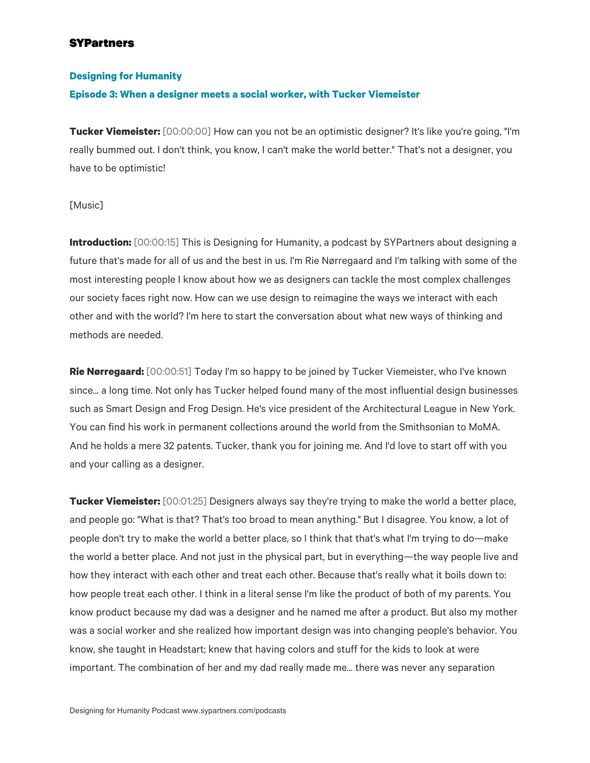# **SYPartners**

## **Designing for Humanity**

#### **Episode 3: When a designer meets a social worker, with Tucker Viemeister**

**Tucker Viemeister:** [00:00:00] How can you not be an optimistic designer? It's like you're going, "I'm really bummed out. I don't think, you know, I can't make the world better." That's not a designer, you have to be optimistic!

#### [Music]

**Introduction:** [00:00:15] This is Designing for Humanity, a podcast by SYPartners about designing a future that's made for all of us and the best in us. I'm Rie Nørregaard and I'm talking with some of the most interesting people I know about how we as designers can tackle the most complex challenges our society faces right now. How can we use design to reimagine the ways we interact with each other and with the world? I'm here to start the conversation about what new ways of thinking and methods are needed.

**Rie Nørregaard:** [00:00:51] Today I'm so happy to be joined by Tucker Viemeister, who I've known since... a long time. Not only has Tucker helped found many of the most influential design businesses such as Smart Design and Frog Design. He's vice president of the Architectural League in New York. You can find his work in permanent collections around the world from the Smithsonian to MoMA. And he holds a mere 32 patents. Tucker, thank you for joining me. And I'd love to start off with you and your calling as a designer.

**Tucker Viemeister:** [00:01:25] Designers always say they're trying to make the world a better place, and people go: "What is that? That's too broad to mean anything." But I disagree. You know, a lot of people don't try to make the world a better place, so I think that that's what I'm trying to do—make the world a better place. And not just in the physical part, but in everything—the way people live and how they interact with each other and treat each other. Because that's really what it boils down to: how people treat each other. I think in a literal sense I'm like the product of both of my parents. You know product because my dad was a designer and he named me after a product. But also my mother was a social worker and she realized how important design was into changing people's behavior. You know, she taught in Headstart; knew that having colors and stuff for the kids to look at were important. The combination of her and my dad really made me... there was never any separation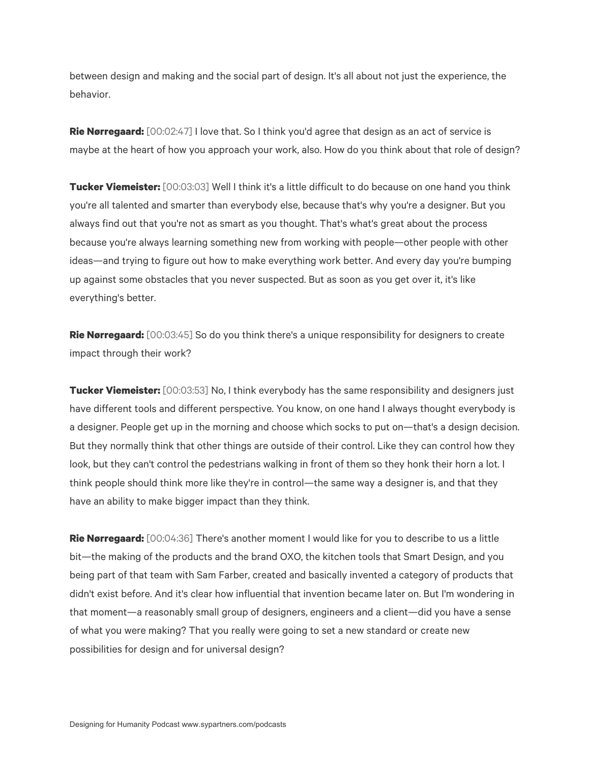between design and making and the social part of design. It's all about not just the experience, the behavior.

**Rie Nørregaard:** [00:02:47] I love that. So I think you'd agree that design as an act of service is maybe at the heart of how you approach your work, also. How do you think about that role of design?

**Tucker Viemeister:** [00:03:03] Well I think it's a little difficult to do because on one hand you think you're all talented and smarter than everybody else, because that's why you're a designer. But you always find out that you're not as smart as you thought. That's what's great about the process because you're always learning something new from working with people—other people with other ideas—and trying to figure out how to make everything work better. And every day you're bumping up against some obstacles that you never suspected. But as soon as you get over it, it's like everything's better.

**Rie Nørregaard:** [00:03:45] So do you think there's a unique responsibility for designers to create impact through their work?

**Tucker Viemeister:** [00:03:53] No, I think everybody has the same responsibility and designers just have different tools and different perspective. You know, on one hand I always thought everybody is a designer. People get up in the morning and choose which socks to put on—that's a design decision. But they normally think that other things are outside of their control. Like they can control how they look, but they can't control the pedestrians walking in front of them so they honk their horn a lot. I think people should think more like they're in control—the same way a designer is, and that they have an ability to make bigger impact than they think.

**Rie Nørregaard:** [00:04:36] There's another moment I would like for you to describe to us a little bit—the making of the products and the brand OXO, the kitchen tools that Smart Design, and you being part of that team with Sam Farber, created and basically invented a category of products that didn't exist before. And it's clear how influential that invention became later on. But I'm wondering in that moment—a reasonably small group of designers, engineers and a client—did you have a sense of what you were making? That you really were going to set a new standard or create new possibilities for design and for universal design?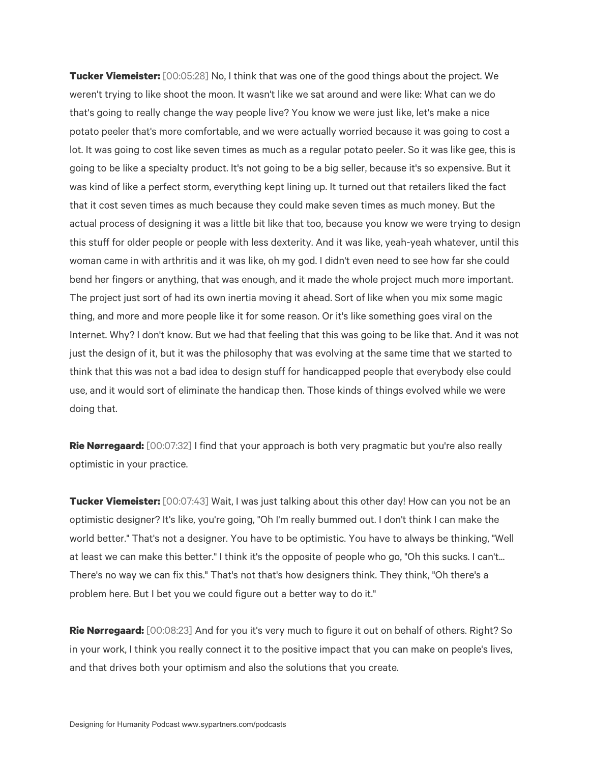**Tucker Viemeister:** [00:05:28] No, I think that was one of the good things about the project. We weren't trying to like shoot the moon. It wasn't like we sat around and were like: What can we do that's going to really change the way people live? You know we were just like, let's make a nice potato peeler that's more comfortable, and we were actually worried because it was going to cost a lot. It was going to cost like seven times as much as a regular potato peeler. So it was like gee, this is going to be like a specialty product. It's not going to be a big seller, because it's so expensive. But it was kind of like a perfect storm, everything kept lining up. It turned out that retailers liked the fact that it cost seven times as much because they could make seven times as much money. But the actual process of designing it was a little bit like that too, because you know we were trying to design this stuff for older people or people with less dexterity. And it was like, yeah-yeah whatever, until this woman came in with arthritis and it was like, oh my god. I didn't even need to see how far she could bend her fingers or anything, that was enough, and it made the whole project much more important. The project just sort of had its own inertia moving it ahead. Sort of like when you mix some magic thing, and more and more people like it for some reason. Or it's like something goes viral on the Internet. Why? I don't know. But we had that feeling that this was going to be like that. And it was not just the design of it, but it was the philosophy that was evolving at the same time that we started to think that this was not a bad idea to design stuff for handicapped people that everybody else could use, and it would sort of eliminate the handicap then. Those kinds of things evolved while we were doing that.

**Rie Nørregaard:** [00:07:32] I find that your approach is both very pragmatic but you're also really optimistic in your practice.

**Tucker Viemeister:** [00:07:43] Wait, I was just talking about this other day! How can you not be an optimistic designer? It's like, you're going, "Oh I'm really bummed out. I don't think I can make the world better." That's not a designer. You have to be optimistic. You have to always be thinking, "Well at least we can make this better." I think it's the opposite of people who go, "Oh this sucks. I can't... There's no way we can fix this." That's not that's how designers think. They think, "Oh there's a problem here. But I bet you we could figure out a better way to do it."

**Rie Nørregaard:** [00:08:23] And for you it's very much to figure it out on behalf of others. Right? So in your work, I think you really connect it to the positive impact that you can make on people's lives, and that drives both your optimism and also the solutions that you create.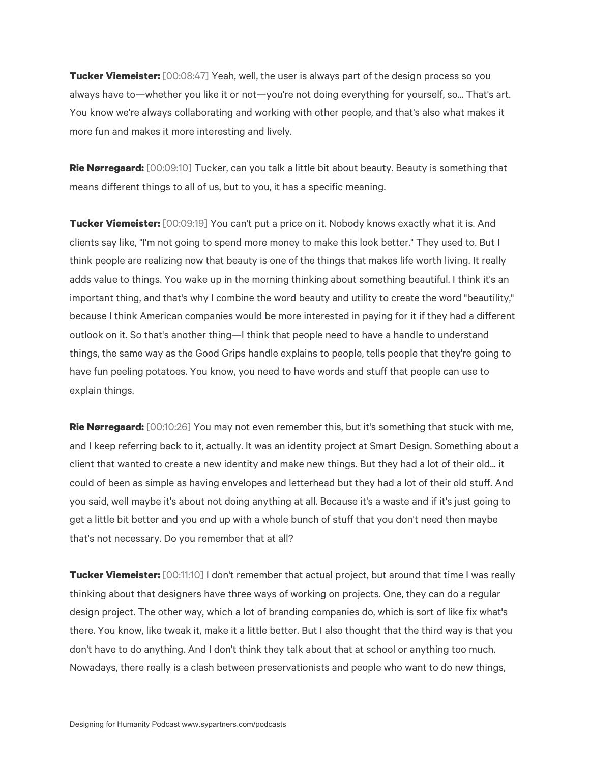**Tucker Viemeister:** [00:08:47] Yeah, well, the user is always part of the design process so you always have to—whether you like it or not—you're not doing everything for yourself, so... That's art. You know we're always collaborating and working with other people, and that's also what makes it more fun and makes it more interesting and lively.

**Rie Nørregaard:** [00:09:10] Tucker, can you talk a little bit about beauty. Beauty is something that means different things to all of us, but to you, it has a specific meaning.

**Tucker Viemeister:** [00:09:19] You can't put a price on it. Nobody knows exactly what it is. And clients say like, "I'm not going to spend more money to make this look better." They used to. But I think people are realizing now that beauty is one of the things that makes life worth living. It really adds value to things. You wake up in the morning thinking about something beautiful. I think it's an important thing, and that's why I combine the word beauty and utility to create the word "beautility," because I think American companies would be more interested in paying for it if they had a different outlook on it. So that's another thing—I think that people need to have a handle to understand things, the same way as the Good Grips handle explains to people, tells people that they're going to have fun peeling potatoes. You know, you need to have words and stuff that people can use to explain things.

**Rie Nørregaard:** [00:10:26] You may not even remember this, but it's something that stuck with me, and I keep referring back to it, actually. It was an identity project at Smart Design. Something about a client that wanted to create a new identity and make new things. But they had a lot of their old... it could of been as simple as having envelopes and letterhead but they had a lot of their old stuff. And you said, well maybe it's about not doing anything at all. Because it's a waste and if it's just going to get a little bit better and you end up with a whole bunch of stuff that you don't need then maybe that's not necessary. Do you remember that at all?

**Tucker Viemeister:** [00:11:10] I don't remember that actual project, but around that time I was really thinking about that designers have three ways of working on projects. One, they can do a regular design project. The other way, which a lot of branding companies do, which is sort of like fix what's there. You know, like tweak it, make it a little better. But I also thought that the third way is that you don't have to do anything. And I don't think they talk about that at school or anything too much. Nowadays, there really is a clash between preservationists and people who want to do new things,